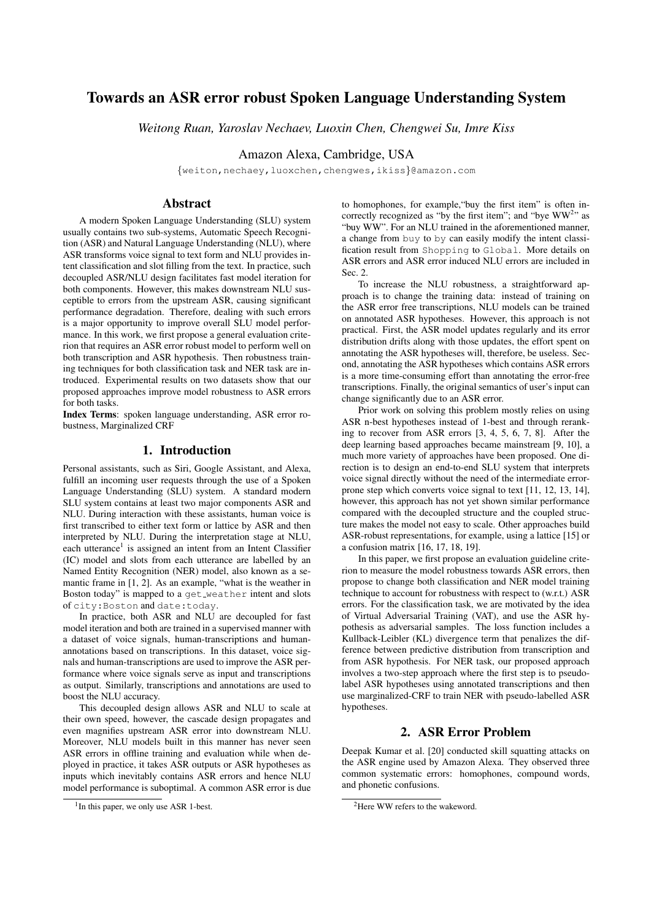# Towards an ASR error robust Spoken Language Understanding System

*Weitong Ruan, Yaroslav Nechaev, Luoxin Chen, Chengwei Su, Imre Kiss*

Amazon Alexa, Cambridge, USA

{weiton,nechaey,luoxchen,chengwes,ikiss}@amazon.com

## Abstract

A modern Spoken Language Understanding (SLU) system usually contains two sub-systems, Automatic Speech Recognition (ASR) and Natural Language Understanding (NLU), where ASR transforms voice signal to text form and NLU provides intent classification and slot filling from the text. In practice, such decoupled ASR/NLU design facilitates fast model iteration for both components. However, this makes downstream NLU susceptible to errors from the upstream ASR, causing significant performance degradation. Therefore, dealing with such errors is a major opportunity to improve overall SLU model performance. In this work, we first propose a general evaluation criterion that requires an ASR error robust model to perform well on both transcription and ASR hypothesis. Then robustness training techniques for both classification task and NER task are introduced. Experimental results on two datasets show that our proposed approaches improve model robustness to ASR errors for both tasks.

Index Terms: spoken language understanding, ASR error robustness, Marginalized CRF

## 1. Introduction

Personal assistants, such as Siri, Google Assistant, and Alexa, fulfill an incoming user requests through the use of a Spoken Language Understanding (SLU) system. A standard modern SLU system contains at least two major components ASR and NLU. During interaction with these assistants, human voice is first transcribed to either text form or lattice by ASR and then interpreted by NLU. During the interpretation stage at NLU, each utterance<sup>1</sup> is assigned an intent from an Intent Classifier (IC) model and slots from each utterance are labelled by an Named Entity Recognition (NER) model, also known as a semantic frame in [1, 2]. As an example, "what is the weather in Boston today" is mapped to a get weather intent and slots of city:Boston and date:today.

In practice, both ASR and NLU are decoupled for fast model iteration and both are trained in a supervised manner with a dataset of voice signals, human-transcriptions and humanannotations based on transcriptions. In this dataset, voice signals and human-transcriptions are used to improve the ASR performance where voice signals serve as input and transcriptions as output. Similarly, transcriptions and annotations are used to boost the NLU accuracy.

This decoupled design allows ASR and NLU to scale at their own speed, however, the cascade design propagates and even magnifies upstream ASR error into downstream NLU. Moreover, NLU models built in this manner has never seen ASR errors in offline training and evaluation while when deployed in practice, it takes ASR outputs or ASR hypotheses as inputs which inevitably contains ASR errors and hence NLU model performance is suboptimal. A common ASR error is due to homophones, for example,"buy the first item" is often incorrectly recognized as "by the first item"; and "bye  $WW<sup>2</sup>$ " as "buy WW". For an NLU trained in the aforementioned manner, a change from buy to by can easily modify the intent classification result from Shopping to Global. More details on ASR errors and ASR error induced NLU errors are included in Sec. 2.

To increase the NLU robustness, a straightforward approach is to change the training data: instead of training on the ASR error free transcriptions, NLU models can be trained on annotated ASR hypotheses. However, this approach is not practical. First, the ASR model updates regularly and its error distribution drifts along with those updates, the effort spent on annotating the ASR hypotheses will, therefore, be useless. Second, annotating the ASR hypotheses which contains ASR errors is a more time-consuming effort than annotating the error-free transcriptions. Finally, the original semantics of user's input can change significantly due to an ASR error.

Prior work on solving this problem mostly relies on using ASR n-best hypotheses instead of 1-best and through reranking to recover from ASR errors [3, 4, 5, 6, 7, 8]. After the deep learning based approaches became mainstream [9, 10], a much more variety of approaches have been proposed. One direction is to design an end-to-end SLU system that interprets voice signal directly without the need of the intermediate errorprone step which converts voice signal to text [11, 12, 13, 14], however, this approach has not yet shown similar performance compared with the decoupled structure and the coupled structure makes the model not easy to scale. Other approaches build ASR-robust representations, for example, using a lattice [15] or a confusion matrix [16, 17, 18, 19].

In this paper, we first propose an evaluation guideline criterion to measure the model robustness towards ASR errors, then propose to change both classification and NER model training technique to account for robustness with respect to (w.r.t.) ASR errors. For the classification task, we are motivated by the idea of Virtual Adversarial Training (VAT), and use the ASR hypothesis as adversarial samples. The loss function includes a Kullback-Leibler (KL) divergence term that penalizes the difference between predictive distribution from transcription and from ASR hypothesis. For NER task, our proposed approach involves a two-step approach where the first step is to pseudolabel ASR hypotheses using annotated transcriptions and then use marginalized-CRF to train NER with pseudo-labelled ASR hypotheses.

## 2. ASR Error Problem

Deepak Kumar et al. [20] conducted skill squatting attacks on the ASR engine used by Amazon Alexa. They observed three common systematic errors: homophones, compound words, and phonetic confusions.

<sup>&</sup>lt;sup>1</sup>In this paper, we only use ASR 1-best.

<sup>&</sup>lt;sup>2</sup>Here WW refers to the wakeword.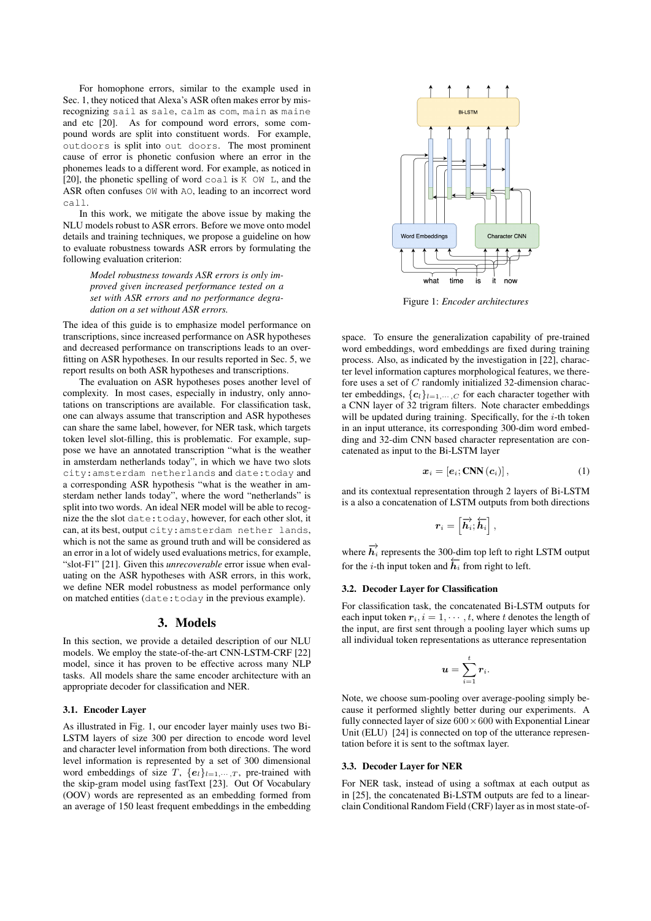For homophone errors, similar to the example used in Sec. 1, they noticed that Alexa's ASR often makes error by misrecognizing sail as sale, calm as com, main as maine and etc [20]. As for compound word errors, some compound words are split into constituent words. For example, outdoors is split into out doors. The most prominent cause of error is phonetic confusion where an error in the phonemes leads to a different word. For example, as noticed in [20], the phonetic spelling of word coal is  $K$  OW L, and the ASR often confuses OW with AO, leading to an incorrect word call.

In this work, we mitigate the above issue by making the NLU models robust to ASR errors. Before we move onto model details and training techniques, we propose a guideline on how to evaluate robustness towards ASR errors by formulating the following evaluation criterion:

> *Model robustness towards ASR errors is only improved given increased performance tested on a set with ASR errors and no performance degradation on a set without ASR errors.*

The idea of this guide is to emphasize model performance on transcriptions, since increased performance on ASR hypotheses and decreased performance on transcriptions leads to an overfitting on ASR hypotheses. In our results reported in Sec. 5, we report results on both ASR hypotheses and transcriptions.

The evaluation on ASR hypotheses poses another level of complexity. In most cases, especially in industry, only annotations on transcriptions are available. For classification task, one can always assume that transcription and ASR hypotheses can share the same label, however, for NER task, which targets token level slot-filling, this is problematic. For example, suppose we have an annotated transcription "what is the weather in amsterdam netherlands today", in which we have two slots city:amsterdam netherlands and date:today and a corresponding ASR hypothesis "what is the weather in amsterdam nether lands today", where the word "netherlands" is split into two words. An ideal NER model will be able to recognize the the slot date:today, however, for each other slot, it can, at its best, output city:amsterdam nether lands, which is not the same as ground truth and will be considered as an error in a lot of widely used evaluations metrics, for example, "slot-F1" [21]. Given this *unrecoverable* error issue when evaluating on the ASR hypotheses with ASR errors, in this work, we define NER model robustness as model performance only on matched entities (date:today in the previous example).

## 3. Models

In this section, we provide a detailed description of our NLU models. We employ the state-of-the-art CNN-LSTM-CRF [22] model, since it has proven to be effective across many NLP tasks. All models share the same encoder architecture with an appropriate decoder for classification and NER.

#### 3.1. Encoder Layer

As illustrated in Fig. 1, our encoder layer mainly uses two Bi-LSTM layers of size 300 per direction to encode word level and character level information from both directions. The word level information is represented by a set of 300 dimensional word embeddings of size T,  ${e_l}_{l=1,\cdots,T}$ , pre-trained with the skip-gram model using fastText [23]. Out Of Vocabulary (OOV) words are represented as an embedding formed from an average of 150 least frequent embeddings in the embedding



Figure 1: *Encoder architectures*

space. To ensure the generalization capability of pre-trained word embeddings, word embeddings are fixed during training process. Also, as indicated by the investigation in [22], character level information captures morphological features, we therefore uses a set of C randomly initialized 32-dimension character embeddings,  $\{c_l\}_{l=1,\cdots,C}$  for each character together with a CNN layer of 32 trigram filters. Note character embeddings will be updated during training. Specifically, for the  $i$ -th token in an input utterance, its corresponding 300-dim word embedding and 32-dim CNN based character representation are concatenated as input to the Bi-LSTM layer

$$
\boldsymbol{x}_{i} = [\boldsymbol{e}_{i}; \mathbf{CNN}(\boldsymbol{c}_{i})], \qquad (1)
$$

and its contextual representation through 2 layers of Bi-LSTM is a also a concatenation of LSTM outputs from both directions

$$
\boldsymbol{r}_i = \left[\overrightarrow{\boldsymbol{h}_i}; \overleftarrow{\boldsymbol{h}_i}\right],
$$

where  $\overrightarrow{h}_i$  represents the 300-dim top left to right LSTM output for the *i*-th input token and  $\overline{h}_i$  from right to left.

#### 3.2. Decoder Layer for Classification

For classification task, the concatenated Bi-LSTM outputs for each input token  $r_i$ ,  $i = 1, \dots, t$ , where t denotes the length of the input, are first sent through a pooling layer which sums up all individual token representations as utterance representation

$$
\boldsymbol{u}=\sum_{i=1}^t \boldsymbol{r}_i.
$$

Note, we choose sum-pooling over average-pooling simply because it performed slightly better during our experiments. A fully connected layer of size  $600 \times 600$  with Exponential Linear Unit (ELU) [24] is connected on top of the utterance representation before it is sent to the softmax layer.

#### 3.3. Decoder Layer for NER

For NER task, instead of using a softmax at each output as in [25], the concatenated Bi-LSTM outputs are fed to a linearclain Conditional Random Field (CRF) layer as in most state-of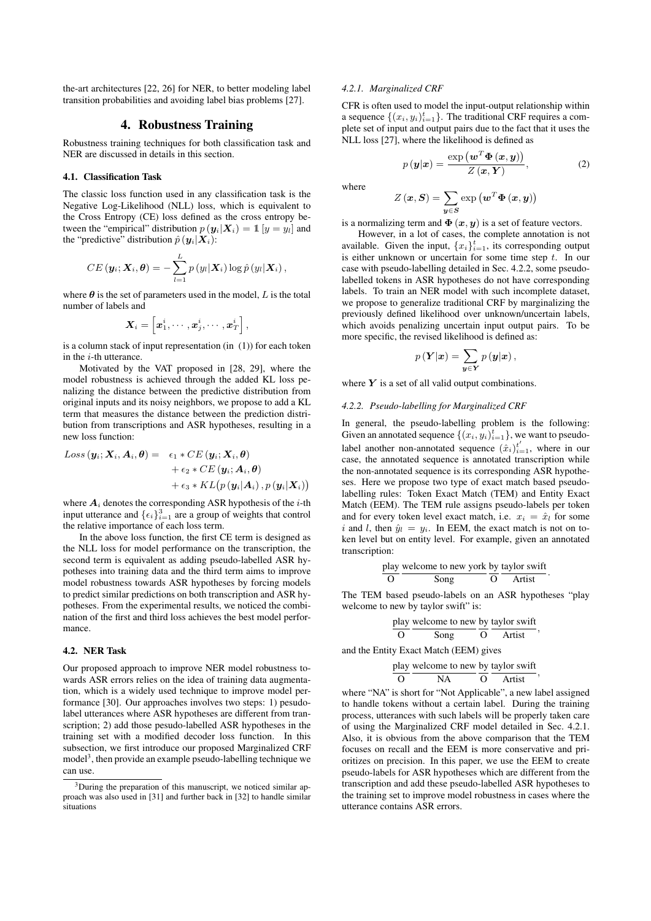the-art architectures [22, 26] for NER, to better modeling label transition probabilities and avoiding label bias problems [27].

### 4. Robustness Training

Robustness training techniques for both classification task and NER are discussed in details in this section.

#### 4.1. Classification Task

The classic loss function used in any classification task is the Negative Log-Likelihood (NLL) loss, which is equivalent to the Cross Entropy (CE) loss defined as the cross entropy between the "empirical" distribution  $p(\mathbf{y}_i|\mathbf{X}_i) = \mathbb{1} [y = y_i]$  and the "predictive" distribution  $\hat{p}(\mathbf{y}_i|\mathbf{X}_i)$ :

$$
CE\left(\boldsymbol{y}_i;\boldsymbol{X}_i,\boldsymbol{\theta}\right)=-\sum_{l=1}^L p\left(y_l|\boldsymbol{X}_i\right) \log \hat{p}\left(y_l|\boldsymbol{X}_i\right),\,
$$

where  $\theta$  is the set of parameters used in the model, L is the total number of labels and

$$
\bm{X}_i = \left[\bm{x}_1^i,\cdots,\bm{x}_j^i,\cdots,\bm{x}_T^i\right],
$$

is a column stack of input representation (in (1)) for each token in the *i*-th utterance.

Motivated by the VAT proposed in [28, 29], where the model robustness is achieved through the added KL loss penalizing the distance between the predictive distribution from original inputs and its noisy neighbors, we propose to add a KL term that measures the distance between the prediction distribution from transcriptions and ASR hypotheses, resulting in a new loss function:

$$
Loss\left(\boldsymbol{y_{i}}; \boldsymbol{X_{i}}, \boldsymbol{A_{i}}, \boldsymbol{\theta}\right) = \begin{array}{l} \epsilon_{1} * CE\left(\boldsymbol{y_{i}}; \boldsymbol{X_{i}}, \boldsymbol{\theta}\right) \\ + \epsilon_{2} * CE\left(\boldsymbol{y_{i}}; \boldsymbol{A_{i}}, \boldsymbol{\theta}\right) \\ + \epsilon_{3} * KL\left(p\left(\boldsymbol{y_{i}}|\boldsymbol{A_{i}}\right), p\left(\boldsymbol{y_{i}}|\boldsymbol{X_{i}}\right)\right) \end{array}
$$

where  $A_i$  denotes the corresponding ASR hypothesis of the *i*-th input utterance and  $\{\epsilon_i\}_{i=1}^3$  are a group of weights that control the relative importance of each loss term.

In the above loss function, the first CE term is designed as the NLL loss for model performance on the transcription, the second term is equivalent as adding pseudo-labelled ASR hypotheses into training data and the third term aims to improve model robustness towards ASR hypotheses by forcing models to predict similar predictions on both transcription and ASR hypotheses. From the experimental results, we noticed the combination of the first and third loss achieves the best model performance.

### 4.2. NER Task

Our proposed approach to improve NER model robustness towards ASR errors relies on the idea of training data augmentation, which is a widely used technique to improve model performance [30]. Our approaches involves two steps: 1) pesudolabel utterances where ASR hypotheses are different from transcription; 2) add those pesudo-labelled ASR hypotheses in the training set with a modified decoder loss function. In this subsection, we first introduce our proposed Marginalized CRF model<sup>3</sup>, then provide an example pseudo-labelling technique we can use.

### *4.2.1. Marginalized CRF*

CFR is often used to model the input-output relationship within a sequence  $\{(x_i, y_i)_{i=1}^t\}$ . The traditional CRF requires a complete set of input and output pairs due to the fact that it uses the NLL loss [27], where the likelihood is defined as

$$
p(\mathbf{y}|\mathbf{x}) = \frac{\exp(\mathbf{w}^T \mathbf{\Phi}(\mathbf{x}, \mathbf{y}))}{Z(\mathbf{x}, \mathbf{Y})},
$$
 (2)

where

$$
Z\left(\boldsymbol{x},\boldsymbol{S}\right)=\sum_{\boldsymbol{y}\in\boldsymbol{S}}\exp\left(\boldsymbol{w}^{T}\boldsymbol{\Phi}\left(\boldsymbol{x},\boldsymbol{y}\right)\right)
$$

is a normalizing term and  $\Phi(x, y)$  is a set of feature vectors.

However, in a lot of cases, the complete annotation is not available. Given the input,  $\{x_i\}_{i=1}^t$ , its corresponding output is either unknown or uncertain for some time step  $t$ . In our case with pseudo-labelling detailed in Sec. 4.2.2, some pseudolabelled tokens in ASR hypotheses do not have corresponding labels. To train an NER model with such incomplete dataset, we propose to generalize traditional CRF by marginalizing the previously defined likelihood over unknown/uncertain labels, which avoids penalizing uncertain input output pairs. To be more specific, the revised likelihood is defined as:

$$
p(\boldsymbol{Y}|\boldsymbol{x}) = \sum_{\boldsymbol{y}\in\boldsymbol{Y}} p(\boldsymbol{y}|\boldsymbol{x}),
$$

where  $Y$  is a set of all valid output combinations.

#### *4.2.2. Pseudo-labelling for Marginalized CRF*

In general, the pseudo-labelling problem is the following: Given an annotated sequence  $\{(x_i, y_i)_{i=1}^t\}$ , we want to pseudolabel another non-annotated sequence  $(\hat{x}_i)_{i=1}^{t'}$ , where in our case, the annotated sequence is annotated transcription while the non-annotated sequence is its corresponding ASR hypotheses. Here we propose two type of exact match based pseudolabelling rules: Token Exact Match (TEM) and Entity Exact Match (EEM). The TEM rule assigns pseudo-labels per token and for every token level exact match, i.e.  $x_i = \hat{x}_i$  for some i and l, then  $\hat{y}_l = y_i$ . In EEM, the exact match is not on token level but on entity level. For example, given an annotated transcription:

$$
\frac{play}{O} \frac{velcome\ to\ new\ york}{Song} \frac{by\ taylor\ swift}{O}.
$$

The TEM based pseudo-labels on an ASR hypotheses "play welcome to new by taylor swift" is:

$$
\frac{\text{play welcome to new by taylor switch}}{\text{Cong}};
$$

and the Entity Exact Match (EEM) gives

$$
\frac{play}{O} \frac{velcome\ to\ new}{NA} \frac{by\ taylor\ switch}{O},
$$

where "NA" is short for "Not Applicable", a new label assigned to handle tokens without a certain label. During the training process, utterances with such labels will be properly taken care of using the Marginalized CRF model detailed in Sec. 4.2.1. Also, it is obvious from the above comparison that the TEM focuses on recall and the EEM is more conservative and prioritizes on precision. In this paper, we use the EEM to create pseudo-labels for ASR hypotheses which are different from the transcription and add these pseudo-labelled ASR hypotheses to the training set to improve model robustness in cases where the utterance contains ASR errors.

 $3$ During the preparation of this manuscript, we noticed similar anproach was also used in [31] and further back in [32] to handle similar situations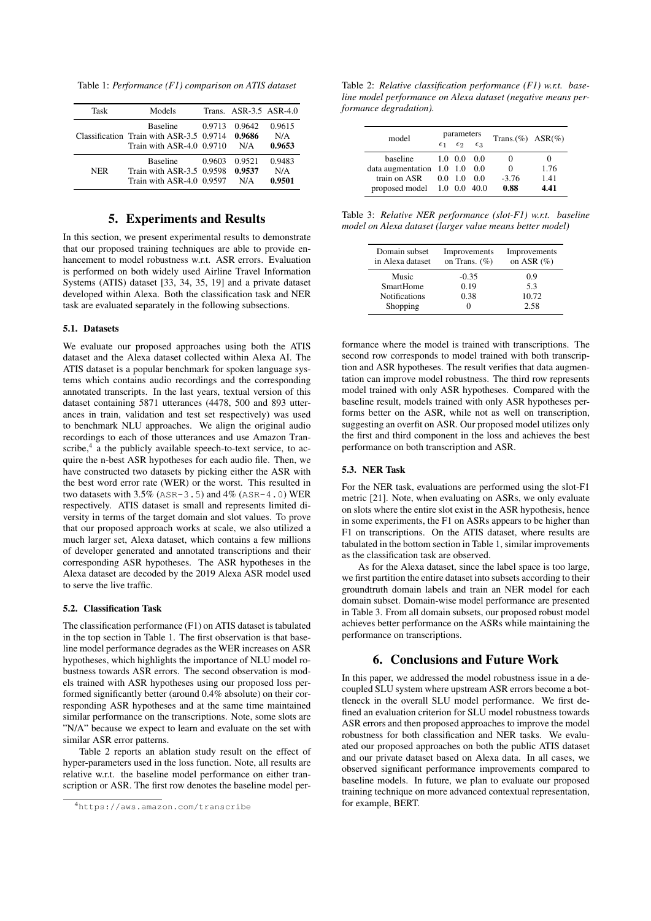Table 1: *Performance (F1) comparison on ATIS dataset*

| Task | Models                                                                                     |        | Trans. ASR-3.5 ASR-4.0  |                         |
|------|--------------------------------------------------------------------------------------------|--------|-------------------------|-------------------------|
|      | <b>Baseline</b><br>Classification Train with ASR-3.5 0.9714<br>Train with $ASR-4.0$ 0.9710 | 0.9713 | 0.9642<br>0.9686<br>N/A | 0.9615<br>N/A<br>0.9653 |
| NER  | <b>Baseline</b><br>Train with ASR-3.5 0.9598<br>Train with ASR-4.0 0.9597                  | 0.9603 | 0.9521<br>0.9537<br>N/A | 0.9483<br>N/A<br>0.9501 |

## 5. Experiments and Results

In this section, we present experimental results to demonstrate that our proposed training techniques are able to provide enhancement to model robustness w.r.t. ASR errors. Evaluation is performed on both widely used Airline Travel Information Systems (ATIS) dataset [33, 34, 35, 19] and a private dataset developed within Alexa. Both the classification task and NER task are evaluated separately in the following subsections.

### 5.1. Datasets

We evaluate our proposed approaches using both the ATIS dataset and the Alexa dataset collected within Alexa AI. The ATIS dataset is a popular benchmark for spoken language systems which contains audio recordings and the corresponding annotated transcripts. In the last years, textual version of this dataset containing 5871 utterances (4478, 500 and 893 utterances in train, validation and test set respectively) was used to benchmark NLU approaches. We align the original audio recordings to each of those utterances and use Amazon Transcribe, $4$  a the publicly available speech-to-text service, to acquire the n-best ASR hypotheses for each audio file. Then, we have constructed two datasets by picking either the ASR with the best word error rate (WER) or the worst. This resulted in two datasets with  $3.5\%$  (ASR-3.5) and  $4\%$  (ASR-4.0) WER respectively. ATIS dataset is small and represents limited diversity in terms of the target domain and slot values. To prove that our proposed approach works at scale, we also utilized a much larger set, Alexa dataset, which contains a few millions of developer generated and annotated transcriptions and their corresponding ASR hypotheses. The ASR hypotheses in the Alexa dataset are decoded by the 2019 Alexa ASR model used to serve the live traffic.

#### 5.2. Classification Task

The classification performance (F1) on ATIS dataset is tabulated in the top section in Table 1. The first observation is that baseline model performance degrades as the WER increases on ASR hypotheses, which highlights the importance of NLU model robustness towards ASR errors. The second observation is models trained with ASR hypotheses using our proposed loss performed significantly better (around 0.4% absolute) on their corresponding ASR hypotheses and at the same time maintained similar performance on the transcriptions. Note, some slots are "N/A" because we expect to learn and evaluate on the set with similar ASR error patterns.

Table 2 reports an ablation study result on the effect of hyper-parameters used in the loss function. Note, all results are relative w.r.t. the baseline model performance on either transcription or ASR. The first row denotes the baseline model per-

Table 2: *Relative classification performance (F1) w.r.t. baseline model performance on Alexa dataset (negative means performance degradation).*

| model                                     | parameters   |                 | Trans. $(\%)$ ASR $(\%)$ |         |      |
|-------------------------------------------|--------------|-----------------|--------------------------|---------|------|
|                                           | $\epsilon_1$ | $\epsilon$ 2    | $\epsilon_3$             |         |      |
| baseline                                  |              | $1.0 \quad 0.0$ | 0.0                      | $_{0}$  |      |
| data augmentation $1.0$ $1.0$ $0.0$       |              |                 |                          | 0       | 1.76 |
| train on ASR                              |              | $0.0 \quad 1.0$ | - 0.0                    | $-3.76$ | 1.41 |
| proposed model $1.0 \quad 0.0 \quad 40.0$ |              |                 |                          | 0.88    | 4.41 |

Table 3: *Relative NER performance (slot-F1) w.r.t. baseline model on Alexa dataset (larger value means better model)*

| Domain subset<br>in Alexa dataset | Improvements<br>on Trans. $(\% )$ | Improvements<br>on ASR $(\% )$ |  |
|-----------------------------------|-----------------------------------|--------------------------------|--|
| Music                             | $-0.35$                           | 0.9                            |  |
| <b>SmartHome</b>                  | 0.19                              | 53                             |  |
| <b>Notifications</b>              | 0.38                              | 10.72                          |  |
| Shopping                          |                                   | 2.58                           |  |

formance where the model is trained with transcriptions. The second row corresponds to model trained with both transcription and ASR hypotheses. The result verifies that data augmentation can improve model robustness. The third row represents model trained with only ASR hypotheses. Compared with the baseline result, models trained with only ASR hypotheses performs better on the ASR, while not as well on transcription, suggesting an overfit on ASR. Our proposed model utilizes only the first and third component in the loss and achieves the best performance on both transcription and ASR.

#### 5.3. NER Task

For the NER task, evaluations are performed using the slot-F1 metric [21]. Note, when evaluating on ASRs, we only evaluate on slots where the entire slot exist in the ASR hypothesis, hence in some experiments, the F1 on ASRs appears to be higher than F1 on transcriptions. On the ATIS dataset, where results are tabulated in the bottom section in Table 1, similar improvements as the classification task are observed.

As for the Alexa dataset, since the label space is too large, we first partition the entire dataset into subsets according to their groundtruth domain labels and train an NER model for each domain subset. Domain-wise model performance are presented in Table 3. From all domain subsets, our proposed robust model achieves better performance on the ASRs while maintaining the performance on transcriptions.

## 6. Conclusions and Future Work

In this paper, we addressed the model robustness issue in a decoupled SLU system where upstream ASR errors become a bottleneck in the overall SLU model performance. We first defined an evaluation criterion for SLU model robustness towards ASR errors and then proposed approaches to improve the model robustness for both classification and NER tasks. We evaluated our proposed approaches on both the public ATIS dataset and our private dataset based on Alexa data. In all cases, we observed significant performance improvements compared to baseline models. In future, we plan to evaluate our proposed training technique on more advanced contextual representation, for example, BERT.

<sup>4</sup>https://aws.amazon.com/transcribe